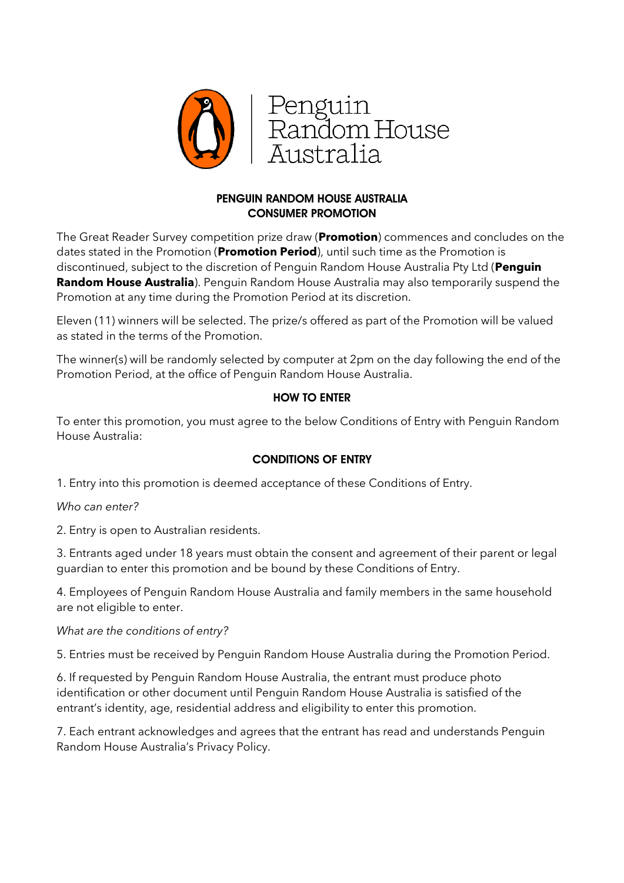

## PENGUIN RANDOM HOUSE AUSTRALIA CONSUMER PROMOTION

The Great Reader Survey competition prize draw (**Promotion**) commences and concludes on the dates stated in the Promotion (**Promotion Period**), until such time as the Promotion is discontinued, subject to the discretion of Penguin Random House Australia Pty Ltd (**Penguin Random House Australia**). Penguin Random House Australia may also temporarily suspend the Promotion at any time during the Promotion Period at its discretion.

Eleven (11) winners will be selected. The prize/s offered as part of the Promotion will be valued as stated in the terms of the Promotion.

The winner(s) will be randomly selected by computer at 2pm on the day following the end of the Promotion Period, at the office of Penguin Random House Australia.

## HOW TO ENTER

To enter this promotion, you must agree to the below Conditions of Entry with Penguin Random House Australia:

# CONDITIONS OF ENTRY

1. Entry into this promotion is deemed acceptance of these Conditions of Entry.

### *Who can enter?*

2. Entry is open to Australian residents.

3. Entrants aged under 18 years must obtain the consent and agreement of their parent or legal guardian to enter this promotion and be bound by these Conditions of Entry.

4. Employees of Penguin Random House Australia and family members in the same household are not eligible to enter.

### *What are the conditions of entry?*

5. Entries must be received by Penguin Random House Australia during the Promotion Period.

6. If requested by Penguin Random House Australia, the entrant must produce photo identification or other document until Penguin Random House Australia is satisfied of the entrant's identity, age, residential address and eligibility to enter this promotion.

7. Each entrant acknowledges and agrees that the entrant has read and understands Penguin Random House Australia's Privacy Policy.